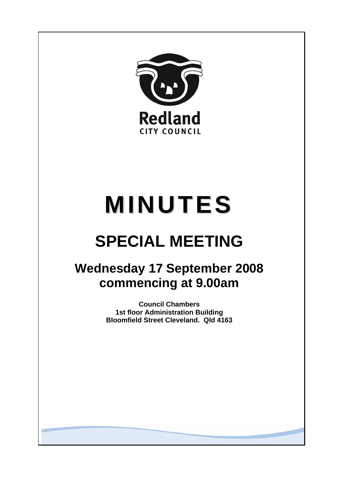

# **MINUTES**

## **SPECIAL MEETING**

### **Wednesday 17 September 2008 commencing at 9.00am**

**Council Chambers 1st floor Administration Building Bloomfield Street Cleveland. Qld 4163**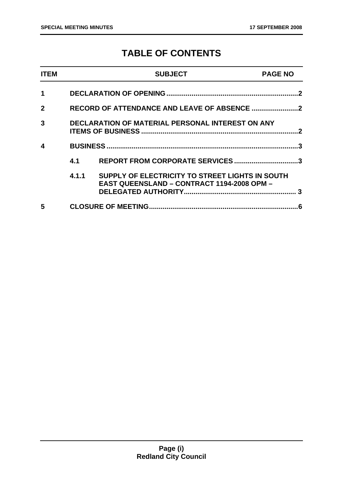#### **TABLE OF CONTENTS**

| <b>ITEM</b>  |                                                  | <b>SUBJECT</b>                                                                                       | <b>PAGE NO</b> |
|--------------|--------------------------------------------------|------------------------------------------------------------------------------------------------------|----------------|
| 1            |                                                  |                                                                                                      |                |
| $\mathbf{2}$ |                                                  |                                                                                                      |                |
| 3            | DECLARATION OF MATERIAL PERSONAL INTEREST ON ANY |                                                                                                      |                |
| 4            |                                                  |                                                                                                      | ર              |
|              | 4.1                                              | REPORT FROM CORPORATE SERVICES3                                                                      |                |
|              | 4.1.1                                            | SUPPLY OF ELECTRICITY TO STREET LIGHTS IN SOUTH<br><b>EAST QUEENSLAND - CONTRACT 1194-2008 OPM -</b> |                |
| 5            |                                                  |                                                                                                      | .6             |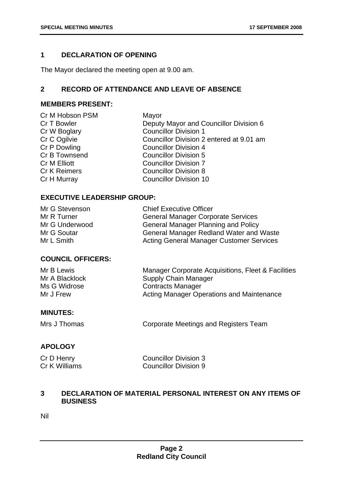#### **1 DECLARATION OF OPENING**

The Mayor declared the meeting open at 9.00 am.

#### **2 RECORD OF ATTENDANCE AND LEAVE OF ABSENCE**

#### **MEMBERS PRESENT:**

| Mayor                                    |
|------------------------------------------|
| Deputy Mayor and Councillor Division 6   |
| <b>Councillor Division 1</b>             |
| Councillor Division 2 entered at 9.01 am |
| <b>Councillor Division 4</b>             |
| <b>Councillor Division 5</b>             |
| <b>Councillor Division 7</b>             |
| <b>Councillor Division 8</b>             |
| <b>Councillor Division 10</b>            |
|                                          |

#### **EXECUTIVE LEADERSHIP GROUP:**

| Mr G Stevenson | <b>Chief Executive Officer</b>                  |
|----------------|-------------------------------------------------|
| Mr R Turner    | <b>General Manager Corporate Services</b>       |
| Mr G Underwood | <b>General Manager Planning and Policy</b>      |
| Mr G Soutar    | <b>General Manager Redland Water and Waste</b>  |
| Mr L Smith     | <b>Acting General Manager Customer Services</b> |

#### **COUNCIL OFFICERS:**

| Mr B Lewis     | Manager Corporate Acquisitions, Fleet & Facilities |
|----------------|----------------------------------------------------|
| Mr A Blacklock | Supply Chain Manager                               |
| Ms G Widrose   | <b>Contracts Manager</b>                           |
| Mr J Frew      | <b>Acting Manager Operations and Maintenance</b>   |

#### **MINUTES:**

Mrs J Thomas **Corporate Meetings and Registers Team** 

#### **APOLOGY**

| Cr D Henry    | <b>Councillor Division 3</b> |
|---------------|------------------------------|
| Cr K Williams | <b>Councillor Division 9</b> |

#### **3 DECLARATION OF MATERIAL PERSONAL INTEREST ON ANY ITEMS OF BUSINESS**

Nil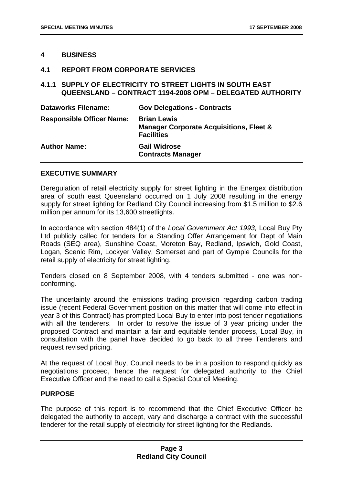#### **4 BUSINESS**

#### **4.1 REPORT FROM CORPORATE SERVICES**

#### **4.1.1 SUPPLY OF ELECTRICITY TO STREET LIGHTS IN SOUTH EAST QUEENSLAND – CONTRACT 1194-2008 OPM – DELEGATED AUTHORITY**

| <b>Dataworks Filename:</b>       | <b>Gov Delegations - Contracts</b>                                                            |
|----------------------------------|-----------------------------------------------------------------------------------------------|
| <b>Responsible Officer Name:</b> | <b>Brian Lewis</b><br><b>Manager Corporate Acquisitions, Fleet &amp;</b><br><b>Facilities</b> |
| <b>Author Name:</b>              | <b>Gail Widrose</b><br><b>Contracts Manager</b>                                               |

#### **EXECUTIVE SUMMARY**

Deregulation of retail electricity supply for street lighting in the Energex distribution area of south east Queensland occurred on 1 July 2008 resulting in the energy supply for street lighting for Redland City Council increasing from \$1.5 million to \$2.6 million per annum for its 13,600 streetlights.

In accordance with section 484(1) of the *Local Government Act 1993,* Local Buy Pty Ltd publicly called for tenders for a Standing Offer Arrangement for Dept of Main Roads (SEQ area), Sunshine Coast, Moreton Bay, Redland, Ipswich, Gold Coast, Logan, Scenic Rim, Lockyer Valley, Somerset and part of Gympie Councils for the retail supply of electricity for street lighting.

Tenders closed on 8 September 2008, with 4 tenders submitted - one was nonconforming.

The uncertainty around the emissions trading provision regarding carbon trading issue (recent Federal Government position on this matter that will come into effect in year 3 of this Contract) has prompted Local Buy to enter into post tender negotiations with all the tenderers. In order to resolve the issue of 3 year pricing under the proposed Contract and maintain a fair and equitable tender process, Local Buy, in consultation with the panel have decided to go back to all three Tenderers and request revised pricing.

At the request of Local Buy, Council needs to be in a position to respond quickly as negotiations proceed, hence the request for delegated authority to the Chief Executive Officer and the need to call a Special Council Meeting.

#### **PURPOSE**

The purpose of this report is to recommend that the Chief Executive Officer be delegated the authority to accept, vary and discharge a contract with the successful tenderer for the retail supply of electricity for street lighting for the Redlands.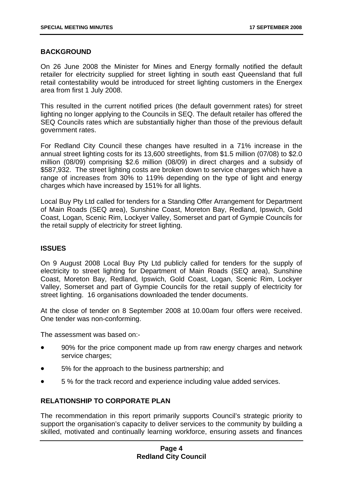#### **BACKGROUND**

On 26 June 2008 the Minister for Mines and Energy formally notified the default retailer for electricity supplied for street lighting in south east Queensland that full retail contestability would be introduced for street lighting customers in the Energex area from first 1 July 2008.

This resulted in the current notified prices (the default government rates) for street lighting no longer applying to the Councils in SEQ. The default retailer has offered the SEQ Councils rates which are substantially higher than those of the previous default government rates.

For Redland City Council these changes have resulted in a 71% increase in the annual street lighting costs for its 13,600 streetlights, from \$1.5 million (07/08) to \$2.0 million (08/09) comprising \$2.6 million (08/09) in direct charges and a subsidy of \$587,932. The street lighting costs are broken down to service charges which have a range of increases from 30% to 119% depending on the type of light and energy charges which have increased by 151% for all lights.

Local Buy Pty Ltd called for tenders for a Standing Offer Arrangement for Department of Main Roads (SEQ area), Sunshine Coast, Moreton Bay, Redland, Ipswich, Gold Coast, Logan, Scenic Rim, Lockyer Valley, Somerset and part of Gympie Councils for the retail supply of electricity for street lighting.

#### **ISSUES**

On 9 August 2008 Local Buy Pty Ltd publicly called for tenders for the supply of electricity to street lighting for Department of Main Roads (SEQ area), Sunshine Coast, Moreton Bay, Redland, Ipswich, Gold Coast, Logan, Scenic Rim, Lockyer Valley, Somerset and part of Gympie Councils for the retail supply of electricity for street lighting. 16 organisations downloaded the tender documents.

At the close of tender on 8 September 2008 at 10.00am four offers were received. One tender was non-conforming.

The assessment was based on:-

- 90% for the price component made up from raw energy charges and network service charges;
- 5% for the approach to the business partnership; and
- 5 % for the track record and experience including value added services.

#### **RELATIONSHIP TO CORPORATE PLAN**

The recommendation in this report primarily supports Council's strategic priority to support the organisation's capacity to deliver services to the community by building a skilled, motivated and continually learning workforce, ensuring assets and finances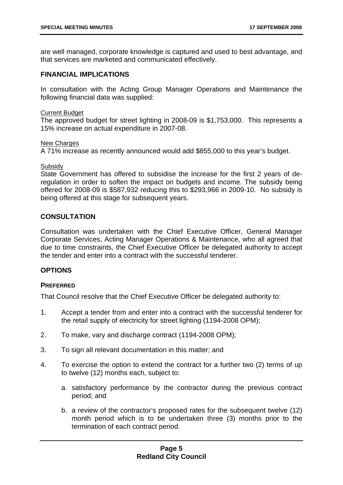are well managed, corporate knowledge is captured and used to best advantage, and that services are marketed and communicated effectively.

#### **FINANCIAL IMPLICATIONS**

In consultation with the Acting Group Manager Operations and Maintenance the following financial data was supplied:

#### Current Budget

The approved budget for street lighting in 2008-09 is \$1,753,000. This represents a 15% increase on actual expenditure in 2007-08.

#### New Charges

A 71% increase as recently announced would add \$855,000 to this year's budget.

#### **Subsidy**

State Government has offered to subsidise the increase for the first 2 years of deregulation in order to soften the impact on budgets and income. The subsidy being offered for 2008-09 is \$587,932 reducing this to \$293,966 in 2009-10. No subsidy is being offered at this stage for subsequent years.

#### **CONSULTATION**

Consultation was undertaken with the Chief Executive Officer, General Manager Corporate Services, Acting Manager Operations & Maintenance, who all agreed that due to time constraints, the Chief Executive Officer be delegated authority to accept the tender and enter into a contract with the successful tenderer.

#### **OPTIONS**

#### **PREFERRED**

That Council resolve that the Chief Executive Officer be delegated authority to:

- 1. Accept a tender from and enter into a contract with the successful tenderer for the retail supply of electricity for street lighting (1194-2008 OPM);
- 2. To make, vary and discharge contract (1194-2008 OPM);
- 3. To sign all relevant documentation in this matter; and
- 4. To exercise the option to extend the contract for a further two (2) terms of up to twelve (12) months each, subject to:
	- a. satisfactory performance by the contractor during the previous contract period; and
	- b. a review of the contractor's proposed rates for the subsequent twelve (12) month period which is to be undertaken three (3) months prior to the termination of each contract period.